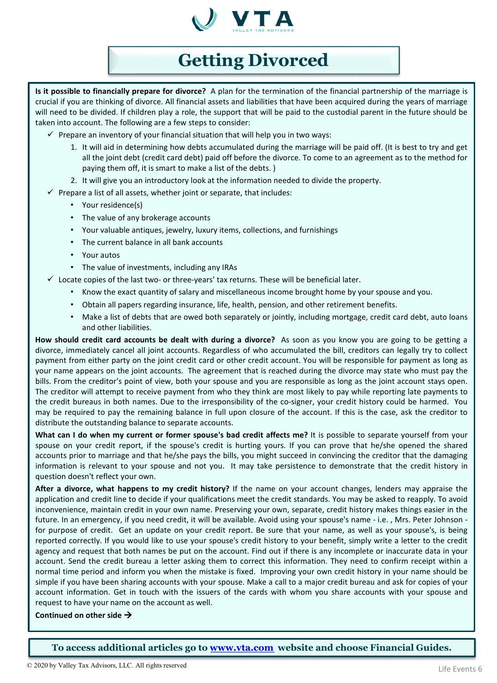

# **Getting Divorced**

**Is it possible to financially prepare for divorce?** A plan for the termination of the financial partnership of the marriage is crucial if you are thinking of divorce. All financial assets and liabilities that have been acquired during the years of marriage will need to be divided. If children play a role, the support that will be paid to the custodial parent in the future should be taken into account. The following are a few steps to consider:

- $\checkmark$  Prepare an inventory of your financial situation that will help you in two ways:
	- 1. It will aid in determining how debts accumulated during the marriage will be paid off. (It is best to try and get all the joint debt (credit card debt) paid off before the divorce. To come to an agreement as to the method for paying them off, it is smart to make a list of the debts. )
	- 2. It will give you an introductory look at the information needed to divide the property.
- $\checkmark$  Prepare a list of all assets, whether joint or separate, that includes:
	- Your residence(s)
	- The value of any brokerage accounts
	- Your valuable antiques, jewelry, luxury items, collections, and furnishings
	- The current balance in all bank accounts
	- Your autos
	- The value of investments, including any IRAs

 $\checkmark$  Locate copies of the last two- or three-years' tax returns. These will be beneficial later.

- Know the exact quantity of salary and miscellaneous income brought home by your spouse and you.
- Obtain all papers regarding insurance, life, health, pension, and other retirement benefits.
- Make a list of debts that are owed both separately or jointly, including mortgage, credit card debt, auto loans and other liabilities.

**How should credit card accounts be dealt with during a divorce?** As soon as you know you are going to be getting a divorce, immediately cancel all joint accounts. Regardless of who accumulated the bill, creditors can legally try to collect payment from either party on the joint credit card or other credit account. You will be responsible for payment as long as your name appears on the joint accounts. The agreement that is reached during the divorce may state who must pay the bills. From the creditor's point of view, both your spouse and you are responsible as long as the joint account stays open. The creditor will attempt to receive payment from who they think are most likely to pay while reporting late payments to the credit bureaus in both names. Due to the irresponsibility of the co-signer, your credit history could be harmed. You may be required to pay the remaining balance in full upon closure of the account. If this is the case, ask the creditor to distribute the outstanding balance to separate accounts.

**What can I do when my current or former spouse's bad credit affects me?** It is possible to separate yourself from your spouse on your credit report, if the spouse's credit is hurting yours. If you can prove that he/she opened the shared accounts prior to marriage and that he/she pays the bills, you might succeed in convincing the creditor that the damaging information is relevant to your spouse and not you. It may take persistence to demonstrate that the credit history in question doesn't reflect your own.

**After a divorce, what happens to my credit history?** If the name on your account changes, lenders may appraise the application and credit line to decide if your qualifications meet the credit standards. You may be asked to reapply. To avoid inconvenience, maintain credit in your own name. Preserving your own, separate, credit history makes things easier in the future. In an emergency, if you need credit, it will be available. Avoid using your spouse's name - i.e. , Mrs. Peter Johnson for purpose of credit. Get an update on your credit report. Be sure that your name, as well as your spouse's, is being reported correctly. If you would like to use your spouse's credit history to your benefit, simply write a letter to the credit agency and request that both names be put on the account. Find out if there is any incomplete or inaccurate data in your account. Send the credit bureau a letter asking them to correct this information. They need to confirm receipt within a normal time period and inform you when the mistake is fixed. Improving your own credit history in your name should be simple if you have been sharing accounts with your spouse. Make a call to a major credit bureau and ask for copies of your account information. Get in touch with the issuers of the cards with whom you share accounts with your spouse and request to have your name on the account as well.

#### **Continued on other side**

**To access additional articles go to [www.vta.com](http://www.vta.com/) website and choose Financial Guides.**